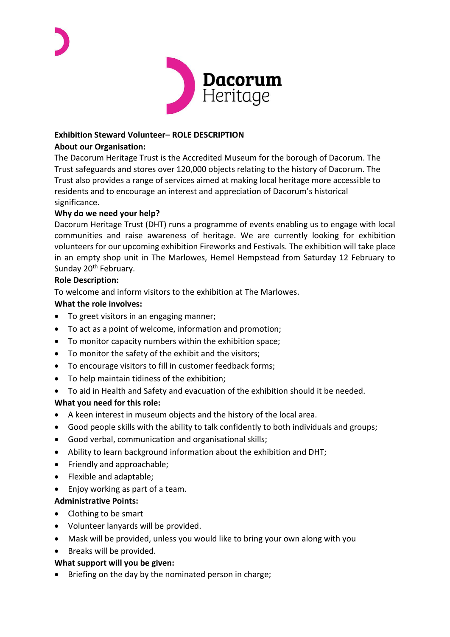

### **Exhibition Steward Volunteer– ROLE DESCRIPTION**

### **About our Organisation:**

The Dacorum Heritage Trust is the Accredited Museum for the borough of Dacorum. The Trust safeguards and stores over 120,000 objects relating to the history of Dacorum. The Trust also provides a range of services aimed at making local heritage more accessible to residents and to encourage an interest and appreciation of Dacorum's historical significance.

#### **Why do we need your help?**

Dacorum Heritage Trust (DHT) runs a programme of events enabling us to engage with local communities and raise awareness of heritage. We are currently looking for exhibition volunteers for our upcoming exhibition Fireworks and Festivals*.* The exhibition will take place in an empty shop unit in The Marlowes, Hemel Hempstead from Saturday 12 February to Sunday 20<sup>th</sup> February.

#### **Role Description:**

To welcome and inform visitors to the exhibition at The Marlowes.

#### **What the role involves:**

- To greet visitors in an engaging manner;
- To act as a point of welcome, information and promotion;
- To monitor capacity numbers within the exhibition space;
- To monitor the safety of the exhibit and the visitors;
- To encourage visitors to fill in customer feedback forms;
- To help maintain tidiness of the exhibition;
- To aid in Health and Safety and evacuation of the exhibition should it be needed.

# **What you need for this role:**

- A keen interest in museum objects and the history of the local area.
- Good people skills with the ability to talk confidently to both individuals and groups;
- Good verbal, communication and organisational skills;
- Ability to learn background information about the exhibition and DHT;
- Friendly and approachable;
- Flexible and adaptable;
- Enjoy working as part of a team.

# **Administrative Points:**

- Clothing to be smart
- Volunteer lanyards will be provided.
- Mask will be provided, unless you would like to bring your own along with you
- Breaks will be provided.

# **What support will you be given:**

• Briefing on the day by the nominated person in charge;